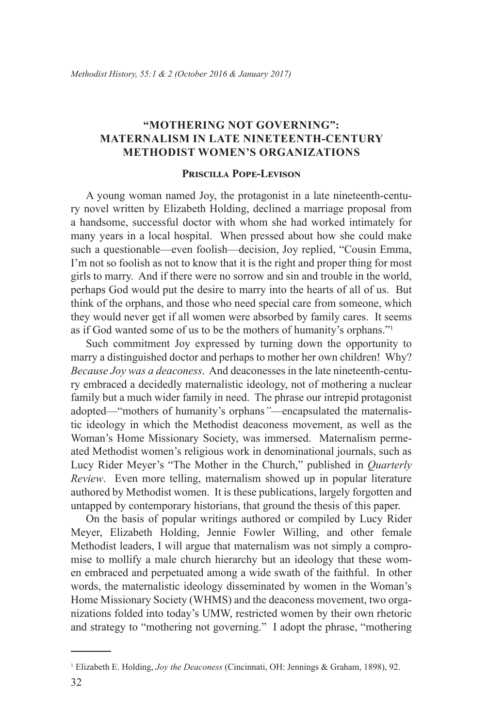## **"Mothering Not Governing": Maternalism in Late Nineteenth-Century Methodist Women's Organizations**

## **Priscilla Pope-Levison**

A young woman named Joy, the protagonist in a late nineteenth-century novel written by Elizabeth Holding, declined a marriage proposal from a handsome, successful doctor with whom she had worked intimately for many years in a local hospital. When pressed about how she could make such a questionable—even foolish—decision, Joy replied, "Cousin Emma, I'm not so foolish as not to know that it is the right and proper thing for most girls to marry. And if there were no sorrow and sin and trouble in the world, perhaps God would put the desire to marry into the hearts of all of us. But think of the orphans, and those who need special care from someone, which they would never get if all women were absorbed by family cares. It seems as if God wanted some of us to be the mothers of humanity's orphans."<sup>1</sup>

Such commitment Joy expressed by turning down the opportunity to marry a distinguished doctor and perhaps to mother her own children! Why? *Because Joy was a deaconess*. And deaconesses in the late nineteenth-century embraced a decidedly maternalistic ideology, not of mothering a nuclear family but a much wider family in need. The phrase our intrepid protagonist adopted—"mothers of humanity's orphans*"*—encapsulated the maternalistic ideology in which the Methodist deaconess movement, as well as the Woman's Home Missionary Society, was immersed. Maternalism permeated Methodist women's religious work in denominational journals, such as Lucy Rider Meyer's "The Mother in the Church," published in *Quarterly Review*. Even more telling, maternalism showed up in popular literature authored by Methodist women. It is these publications, largely forgotten and untapped by contemporary historians, that ground the thesis of this paper.

On the basis of popular writings authored or compiled by Lucy Rider Meyer, Elizabeth Holding, Jennie Fowler Willing, and other female Methodist leaders, I will argue that maternalism was not simply a compromise to mollify a male church hierarchy but an ideology that these women embraced and perpetuated among a wide swath of the faithful. In other words, the maternalistic ideology disseminated by women in the Woman's Home Missionary Society (WHMS) and the deaconess movement, two organizations folded into today's UMW, restricted women by their own rhetoric and strategy to "mothering not governing." I adopt the phrase, "mothering

<sup>1</sup> Elizabeth E. Holding, *Joy the Deaconess* (Cincinnati, OH: Jennings & Graham, 1898), 92.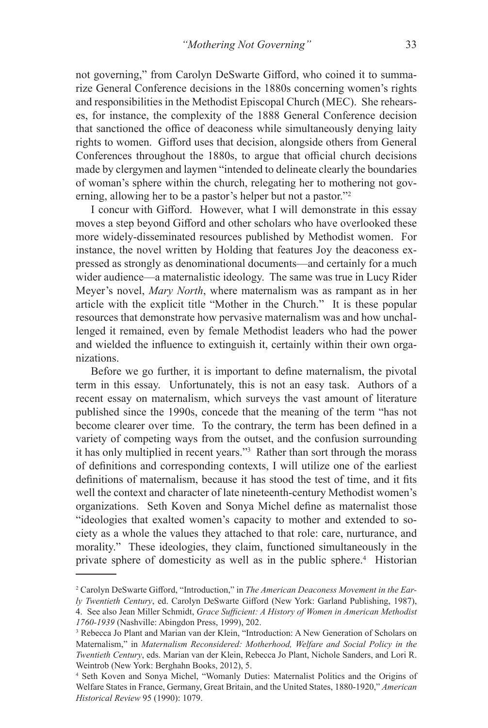not governing," from Carolyn DeSwarte Gifford, who coined it to summarize General Conference decisions in the 1880s concerning women's rights and responsibilities in the Methodist Episcopal Church (MEC). She rehearses, for instance, the complexity of the 1888 General Conference decision that sanctioned the office of deaconess while simultaneously denying laity rights to women. Gifford uses that decision, alongside others from General Conferences throughout the 1880s, to argue that official church decisions made by clergymen and laymen "intended to delineate clearly the boundaries of woman's sphere within the church, relegating her to mothering not governing, allowing her to be a pastor's helper but not a pastor."<sup>2</sup>

I concur with Gifford. However, what I will demonstrate in this essay moves a step beyond Gifford and other scholars who have overlooked these more widely-disseminated resources published by Methodist women. For instance, the novel written by Holding that features Joy the deaconess expressed as strongly as denominational documents—and certainly for a much wider audience—a maternalistic ideology. The same was true in Lucy Rider Meyer's novel, *Mary North*, where maternalism was as rampant as in her article with the explicit title "Mother in the Church." It is these popular resources that demonstrate how pervasive maternalism was and how unchallenged it remained, even by female Methodist leaders who had the power and wielded the influence to extinguish it, certainly within their own organizations.

Before we go further, it is important to define maternalism, the pivotal term in this essay. Unfortunately, this is not an easy task. Authors of a recent essay on maternalism, which surveys the vast amount of literature published since the 1990s, concede that the meaning of the term "has not become clearer over time. To the contrary, the term has been defined in a variety of competing ways from the outset, and the confusion surrounding it has only multiplied in recent years."3 Rather than sort through the morass of definitions and corresponding contexts, I will utilize one of the earliest definitions of maternalism, because it has stood the test of time, and it fits well the context and character of late nineteenth-century Methodist women's organizations. Seth Koven and Sonya Michel define as maternalist those "ideologies that exalted women's capacity to mother and extended to society as a whole the values they attached to that role: care, nurturance, and morality." These ideologies, they claim, functioned simultaneously in the private sphere of domesticity as well as in the public sphere.<sup>4</sup> Historian

<sup>2</sup> Carolyn DeSwarte Gifford, "Introduction," in *The American Deaconess Movement in the Early Twentieth Century*, ed. Carolyn DeSwarte Gifford (New York: Garland Publishing, 1987),

<sup>4.</sup> See also Jean Miller Schmidt, *Grace Sufficient: A History of Women in American Methodist 1760-1939* (Nashville: Abingdon Press, 1999), 202.

<sup>3</sup> Rebecca Jo Plant and Marian van der Klein, "Introduction: A New Generation of Scholars on Maternalism," in *Maternalism Reconsidered: Motherhood, Welfare and Social Policy in the Twentieth Century*, eds. Marian van der Klein, Rebecca Jo Plant, Nichole Sanders, and Lori R. Weintrob (New York: Berghahn Books, 2012), 5.

<sup>4</sup> Seth Koven and Sonya Michel, "Womanly Duties: Maternalist Politics and the Origins of Welfare States in France, Germany, Great Britain, and the United States, 1880-1920," *American Historical Review* 95 (1990): 1079.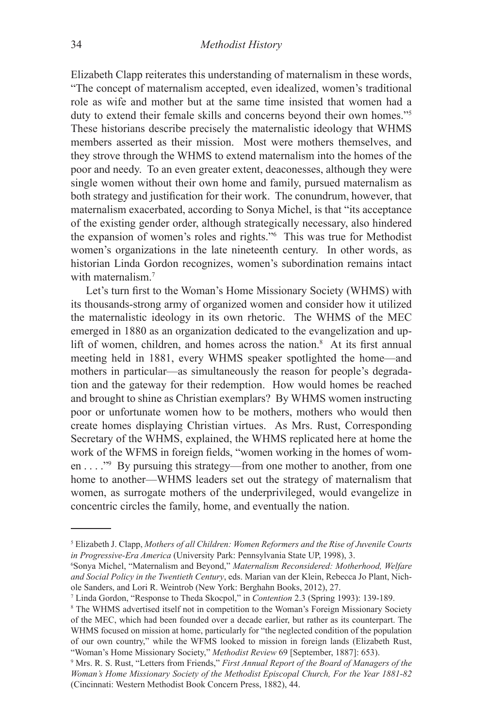Elizabeth Clapp reiterates this understanding of maternalism in these words, "The concept of maternalism accepted, even idealized, women's traditional role as wife and mother but at the same time insisted that women had a duty to extend their female skills and concerns beyond their own homes."5 These historians describe precisely the maternalistic ideology that WHMS members asserted as their mission. Most were mothers themselves, and they strove through the WHMS to extend maternalism into the homes of the poor and needy. To an even greater extent, deaconesses, although they were single women without their own home and family, pursued maternalism as both strategy and justification for their work. The conundrum, however, that maternalism exacerbated, according to Sonya Michel, is that "its acceptance of the existing gender order, although strategically necessary, also hindered the expansion of women's roles and rights."<sup>6</sup> This was true for Methodist women's organizations in the late nineteenth century. In other words, as historian Linda Gordon recognizes, women's subordination remains intact with maternalism.<sup>7</sup>

Let's turn first to the Woman's Home Missionary Society (WHMS) with its thousands-strong army of organized women and consider how it utilized the maternalistic ideology in its own rhetoric. The WHMS of the MEC emerged in 1880 as an organization dedicated to the evangelization and uplift of women, children, and homes across the nation.<sup>8</sup> At its first annual meeting held in 1881, every WHMS speaker spotlighted the home—and mothers in particular—as simultaneously the reason for people's degradation and the gateway for their redemption. How would homes be reached and brought to shine as Christian exemplars? By WHMS women instructing poor or unfortunate women how to be mothers, mothers who would then create homes displaying Christian virtues. As Mrs. Rust, Corresponding Secretary of the WHMS, explained, the WHMS replicated here at home the work of the WFMS in foreign fields, "women working in the homes of women . . . ."9 By pursuing this strategy—from one mother to another, from one home to another—WHMS leaders set out the strategy of maternalism that women, as surrogate mothers of the underprivileged, would evangelize in concentric circles the family, home, and eventually the nation.

<sup>5</sup> Elizabeth J. Clapp, *Mothers of all Children: Women Reformers and the Rise of Juvenile Courts in Progressive-Era America* (University Park: Pennsylvania State UP, 1998), 3.

<sup>6</sup> Sonya Michel, "Maternalism and Beyond," *Maternalism Reconsidered: Motherhood, Welfare and Social Policy in the Twentieth Century*, eds. Marian van der Klein, Rebecca Jo Plant, Nichole Sanders, and Lori R. Weintrob (New York: Berghahn Books, 2012), 27.

<sup>7</sup> Linda Gordon, "Response to Theda Skocpol," in *Contention* 2.3 (Spring 1993): 139-189.

<sup>8</sup> The WHMS advertised itself not in competition to the Woman's Foreign Missionary Society of the MEC, which had been founded over a decade earlier, but rather as its counterpart. The WHMS focused on mission at home, particularly for "the neglected condition of the population of our own country," while the WFMS looked to mission in foreign lands (Elizabeth Rust, "Woman's Home Missionary Society," *Methodist Review* 69 [September, 1887]: 653).

<sup>9</sup> Mrs. R. S. Rust, "Letters from Friends," *First Annual Report of the Board of Managers of the Woman's Home Missionary Society of the Methodist Episcopal Church, For the Year 1881-82* (Cincinnati: Western Methodist Book Concern Press, 1882), 44.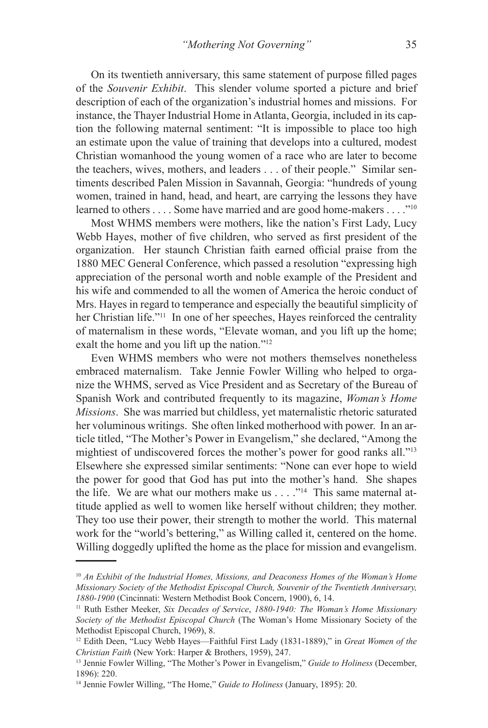On its twentieth anniversary, this same statement of purpose filled pages of the *Souvenir Exhibit*. This slender volume sported a picture and brief description of each of the organization's industrial homes and missions. For instance, the Thayer Industrial Home in Atlanta, Georgia, included in its caption the following maternal sentiment: "It is impossible to place too high an estimate upon the value of training that develops into a cultured, modest Christian womanhood the young women of a race who are later to become the teachers, wives, mothers, and leaders . . . of their people." Similar sentiments described Palen Mission in Savannah, Georgia: "hundreds of young women, trained in hand, head, and heart, are carrying the lessons they have learned to others . . . . Some have married and are good home-makers . . . . "<sup>10</sup>

Most WHMS members were mothers, like the nation's First Lady, Lucy Webb Hayes, mother of five children, who served as first president of the organization. Her staunch Christian faith earned official praise from the 1880 MEC General Conference, which passed a resolution "expressing high appreciation of the personal worth and noble example of the President and his wife and commended to all the women of America the heroic conduct of Mrs. Hayes in regard to temperance and especially the beautiful simplicity of her Christian life."<sup>11</sup> In one of her speeches, Hayes reinforced the centrality of maternalism in these words, "Elevate woman, and you lift up the home; exalt the home and you lift up the nation."<sup>12</sup>

Even WHMS members who were not mothers themselves nonetheless embraced maternalism. Take Jennie Fowler Willing who helped to organize the WHMS, served as Vice President and as Secretary of the Bureau of Spanish Work and contributed frequently to its magazine, *Woman's Home Missions*. She was married but childless, yet maternalistic rhetoric saturated her voluminous writings. She often linked motherhood with power. In an article titled, "The Mother's Power in Evangelism," she declared, "Among the mightiest of undiscovered forces the mother's power for good ranks all."13 Elsewhere she expressed similar sentiments: "None can ever hope to wield the power for good that God has put into the mother's hand. She shapes the life. We are what our mothers make us  $\dots$  ."<sup>14</sup> This same maternal attitude applied as well to women like herself without children; they mother. They too use their power, their strength to mother the world. This maternal work for the "world's bettering," as Willing called it, centered on the home. Willing doggedly uplifted the home as the place for mission and evangelism.

<sup>10</sup> *An Exhibit of the Industrial Homes, Missions, and Deaconess Homes of the Woman's Home Missionary Society of the Methodist Episcopal Church, Souvenir of the Twentieth Anniversary, 1880-1900* (Cincinnati: Western Methodist Book Concern, 1900), 6, 14.

<sup>11</sup> Ruth Esther Meeker, *Six Decades of Service*, *1880-1940: The Woman's Home Missionary Society of the Methodist Episcopal Church* (The Woman's Home Missionary Society of the Methodist Episcopal Church, 1969), 8.

<sup>12</sup> Edith Deen, "Lucy Webb Hayes—Faithful First Lady (1831-1889)," in *Great Women of the Christian Faith* (New York: Harper & Brothers, 1959), 247.

<sup>13</sup> Jennie Fowler Willing, "The Mother's Power in Evangelism," *Guide to Holiness* (December, 1896): 220.

<sup>14</sup> Jennie Fowler Willing, "The Home," *Guide to Holiness* (January, 1895): 20.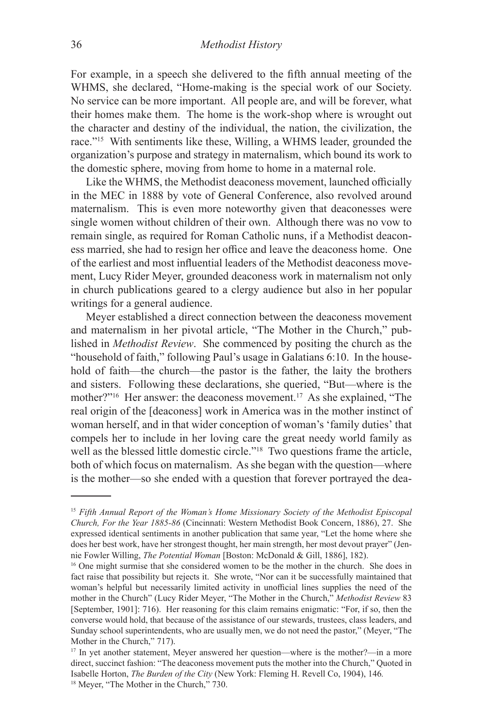For example, in a speech she delivered to the fifth annual meeting of the WHMS, she declared, "Home-making is the special work of our Society. No service can be more important. All people are, and will be forever, what their homes make them. The home is the work-shop where is wrought out the character and destiny of the individual, the nation, the civilization, the race."15 With sentiments like these, Willing, a WHMS leader, grounded the organization's purpose and strategy in maternalism, which bound its work to the domestic sphere, moving from home to home in a maternal role.

Like the WHMS, the Methodist deaconess movement, launched officially in the MEC in 1888 by vote of General Conference, also revolved around maternalism. This is even more noteworthy given that deaconesses were single women without children of their own. Although there was no vow to remain single, as required for Roman Catholic nuns, if a Methodist deaconess married, she had to resign her office and leave the deaconess home. One of the earliest and most influential leaders of the Methodist deaconess movement, Lucy Rider Meyer, grounded deaconess work in maternalism not only in church publications geared to a clergy audience but also in her popular writings for a general audience.

Meyer established a direct connection between the deaconess movement and maternalism in her pivotal article, "The Mother in the Church," published in *Methodist Review*. She commenced by positing the church as the "household of faith," following Paul's usage in Galatians 6:10. In the household of faith—the church—the pastor is the father, the laity the brothers and sisters. Following these declarations, she queried, "But—where is the mother?"<sup>16</sup> Her answer: the deaconess movement.<sup>17</sup> As she explained, "The real origin of the [deaconess] work in America was in the mother instinct of woman herself, and in that wider conception of woman's 'family duties' that compels her to include in her loving care the great needy world family as well as the blessed little domestic circle."18 Two questions frame the article, both of which focus on maternalism. As she began with the question—where is the mother—so she ended with a question that forever portrayed the dea-

<sup>&</sup>lt;sup>15</sup> Fifth Annual Report of the Woman's Home Missionary Society of the Methodist Episcopal *Church, For the Year 1885-86* (Cincinnati: Western Methodist Book Concern, 1886), 27. She expressed identical sentiments in another publication that same year, "Let the home where she does her best work, have her strongest thought, her main strength, her most devout prayer" (Jennie Fowler Willing, *The Potential Woman* [Boston: McDonald & Gill, 1886], 182).

<sup>&</sup>lt;sup>16</sup> One might surmise that she considered women to be the mother in the church. She does in fact raise that possibility but rejects it. She wrote, "Nor can it be successfully maintained that woman's helpful but necessarily limited activity in unofficial lines supplies the need of the mother in the Church" (Lucy Rider Meyer, "The Mother in the Church," *Methodist Review* 83 [September, 1901]: 716). Her reasoning for this claim remains enigmatic: "For, if so, then the converse would hold, that because of the assistance of our stewards, trustees, class leaders, and Sunday school superintendents, who are usually men, we do not need the pastor," (Meyer, "The Mother in the Church," 717).

<sup>&</sup>lt;sup>17</sup> In yet another statement, Meyer answered her question—where is the mother?—in a more direct, succinct fashion: "The deaconess movement puts the mother into the Church," Quoted in Isabelle Horton, *The Burden of the City* (New York: Fleming H. Revell Co, 1904), 146*.* <sup>18</sup> Meyer, "The Mother in the Church," 730.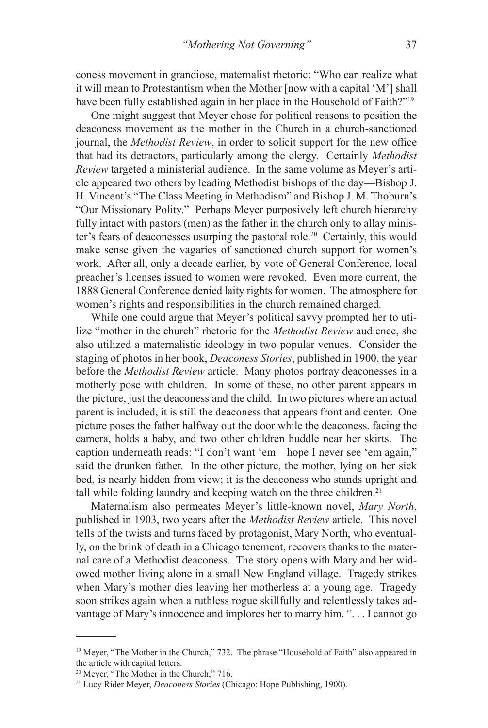coness movement in grandiose, maternalist rhetoric: "Who can realize what it will mean to Protestantism when the Mother [now with a capital 'M'] shall have been fully established again in her place in the Household of Faith?"<sup>19</sup>

One might suggest that Meyer chose for political reasons to position the deaconess movement as the mother in the Church in a church-sanctioned journal, the *Methodist Review*, in order to solicit support for the new office that had its detractors, particularly among the clergy. Certainly *Methodist Review* targeted a ministerial audience. In the same volume as Meyer's article appeared two others by leading Methodist bishops of the day—Bishop J. H. Vincent's "The Class Meeting in Methodism" and Bishop J. M. Thoburn's "Our Missionary Polity." Perhaps Meyer purposively left church hierarchy fully intact with pastors (men) as the father in the church only to allay minister's fears of deaconesses usurping the pastoral role.<sup>20</sup> Certainly, this would make sense given the vagaries of sanctioned church support for women's work. After all, only a decade earlier, by vote of General Conference, local preacher's licenses issued to women were revoked. Even more current, the 1888 General Conference denied laity rights for women. The atmosphere for women's rights and responsibilities in the church remained charged.

While one could argue that Meyer's political savvy prompted her to utilize "mother in the church" rhetoric for the *Methodist Review* audience, she also utilized a maternalistic ideology in two popular venues. Consider the staging of photos in her book, *Deaconess Stories*, published in 1900, the year before the *Methodist Review* article. Many photos portray deaconesses in a motherly pose with children. In some of these, no other parent appears in the picture, just the deaconess and the child. In two pictures where an actual parent is included, it is still the deaconess that appears front and center. One picture poses the father halfway out the door while the deaconess, facing the camera, holds a baby, and two other children huddle near her skirts. The caption underneath reads: "I don't want 'em—hope I never see 'em again," said the drunken father. In the other picture, the mother, lying on her sick bed, is nearly hidden from view; it is the deaconess who stands upright and tall while folding laundry and keeping watch on the three children.<sup>21</sup>

Maternalism also permeates Meyer's little-known novel, *Mary North*, published in 1903, two years after the *Methodist Review* article. This novel tells of the twists and turns faced by protagonist, Mary North, who eventually, on the brink of death in a Chicago tenement, recovers thanks to the maternal care of a Methodist deaconess. The story opens with Mary and her widowed mother living alone in a small New England village. Tragedy strikes when Mary's mother dies leaving her motherless at a young age. Tragedy soon strikes again when a ruthless rogue skillfully and relentlessly takes advantage of Mary's innocence and implores her to marry him. ". . . I cannot go

<sup>&</sup>lt;sup>19</sup> Meyer, "The Mother in the Church," 732. The phrase "Household of Faith" also appeared in the article with capital letters.

<sup>&</sup>lt;sup>20</sup> Meyer, "The Mother in the Church," 716.

<sup>21</sup> Lucy Rider Meyer, *Deaconess Stories* (Chicago: Hope Publishing, 1900).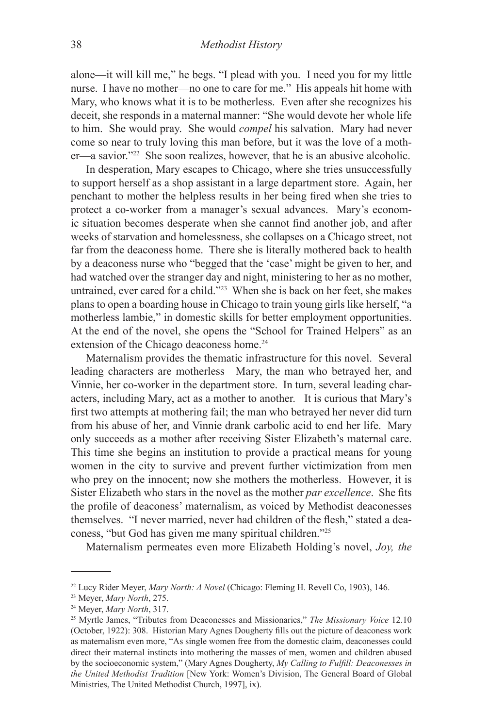alone—it will kill me," he begs. "I plead with you. I need you for my little nurse. I have no mother—no one to care for me." His appeals hit home with Mary, who knows what it is to be motherless. Even after she recognizes his deceit, she responds in a maternal manner: "She would devote her whole life to him. She would pray. She would *compel* his salvation. Mary had never come so near to truly loving this man before, but it was the love of a mother—a savior."<sup>22</sup> She soon realizes, however, that he is an abusive alcoholic.

In desperation, Mary escapes to Chicago, where she tries unsuccessfully to support herself as a shop assistant in a large department store. Again, her penchant to mother the helpless results in her being fired when she tries to protect a co-worker from a manager's sexual advances. Mary's economic situation becomes desperate when she cannot find another job, and after weeks of starvation and homelessness, she collapses on a Chicago street, not far from the deaconess home. There she is literally mothered back to health by a deaconess nurse who "begged that the 'case' might be given to her, and had watched over the stranger day and night, ministering to her as no mother, untrained, ever cared for a child."23 When she is back on her feet, she makes plans to open a boarding house in Chicago to train young girls like herself, "a motherless lambie," in domestic skills for better employment opportunities. At the end of the novel, she opens the "School for Trained Helpers" as an extension of the Chicago deaconess home.<sup>24</sup>

Maternalism provides the thematic infrastructure for this novel. Several leading characters are motherless—Mary, the man who betrayed her, and Vinnie, her co-worker in the department store. In turn, several leading characters, including Mary, act as a mother to another. It is curious that Mary's first two attempts at mothering fail; the man who betrayed her never did turn from his abuse of her, and Vinnie drank carbolic acid to end her life. Mary only succeeds as a mother after receiving Sister Elizabeth's maternal care. This time she begins an institution to provide a practical means for young women in the city to survive and prevent further victimization from men who prey on the innocent; now she mothers the motherless. However, it is Sister Elizabeth who stars in the novel as the mother *par excellence*.She fits the profile of deaconess' maternalism, as voiced by Methodist deaconesses themselves. "I never married, never had children of the flesh," stated a deaconess, "but God has given me many spiritual children."25

Maternalism permeates even more Elizabeth Holding's novel, *Joy, the* 

<sup>22</sup> Lucy Rider Meyer, *Mary North: A Novel* (Chicago: Fleming H. Revell Co, 1903), 146.

<sup>23</sup> Meyer, *Mary North*, 275.

<sup>24</sup> Meyer, *Mary North*, 317.

<sup>25</sup> Myrtle James, "Tributes from Deaconesses and Missionaries," *The Missionary Voice* 12.10 (October, 1922): 308. Historian Mary Agnes Dougherty fills out the picture of deaconess work as maternalism even more, "As single women free from the domestic claim, deaconesses could direct their maternal instincts into mothering the masses of men, women and children abused by the socioeconomic system," (Mary Agnes Dougherty, *My Calling to Fulfill: Deaconesses in the United Methodist Tradition* [New York: Women's Division, The General Board of Global Ministries, The United Methodist Church, 1997], ix).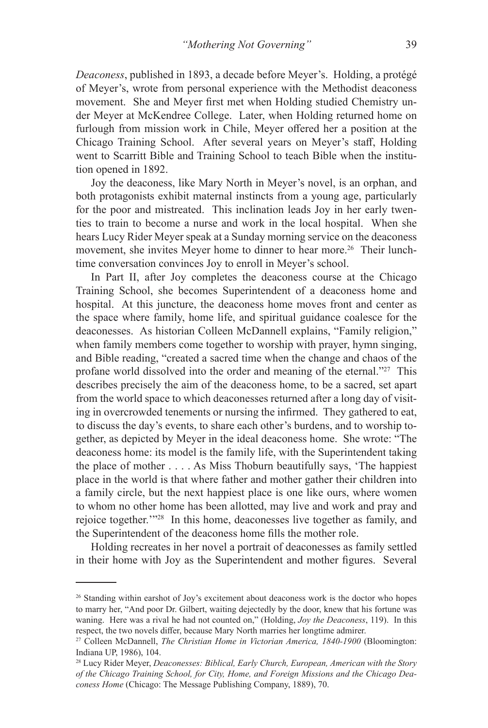*Deaconess*, published in 1893, a decade before Meyer's. Holding, a protégé of Meyer's, wrote from personal experience with the Methodist deaconess movement. She and Meyer first met when Holding studied Chemistry under Meyer at McKendree College. Later, when Holding returned home on furlough from mission work in Chile, Meyer offered her a position at the Chicago Training School. After several years on Meyer's staff, Holding went to Scarritt Bible and Training School to teach Bible when the institution opened in 1892.

Joy the deaconess, like Mary North in Meyer's novel, is an orphan, and both protagonists exhibit maternal instincts from a young age, particularly for the poor and mistreated. This inclination leads Joy in her early twenties to train to become a nurse and work in the local hospital. When she hears Lucy Rider Meyer speak at a Sunday morning service on the deaconess movement, she invites Meyer home to dinner to hear more.<sup>26</sup> Their lunchtime conversation convinces Joy to enroll in Meyer's school.

In Part II, after Joy completes the deaconess course at the Chicago Training School, she becomes Superintendent of a deaconess home and hospital. At this juncture, the deaconess home moves front and center as the space where family, home life, and spiritual guidance coalesce for the deaconesses. As historian Colleen McDannell explains, "Family religion," when family members come together to worship with prayer, hymn singing, and Bible reading, "created a sacred time when the change and chaos of the profane world dissolved into the order and meaning of the eternal."<sup>27</sup> This describes precisely the aim of the deaconess home, to be a sacred, set apart from the world space to which deaconesses returned after a long day of visiting in overcrowded tenements or nursing the infirmed. They gathered to eat, to discuss the day's events, to share each other's burdens, and to worship together, as depicted by Meyer in the ideal deaconess home. She wrote: "The deaconess home: its model is the family life, with the Superintendent taking the place of mother . . . . As Miss Thoburn beautifully says, 'The happiest place in the world is that where father and mother gather their children into a family circle, but the next happiest place is one like ours, where women to whom no other home has been allotted, may live and work and pray and rejoice together.'"28 In this home, deaconesses live together as family, and the Superintendent of the deaconess home fills the mother role.

Holding recreates in her novel a portrait of deaconesses as family settled in their home with Joy as the Superintendent and mother figures. Several

<sup>26</sup> Standing within earshot of Joy's excitement about deaconess work is the doctor who hopes to marry her, "And poor Dr. Gilbert, waiting dejectedly by the door, knew that his fortune was waning. Here was a rival he had not counted on," (Holding, *Joy the Deaconess*, 119). In this respect, the two novels differ, because Mary North marries her longtime admirer.

<sup>27</sup> Colleen McDannell, *The Christian Home in Victorian America, 1840-1900* (Bloomington: Indiana UP, 1986), 104.

<sup>28</sup> Lucy Rider Meyer, *Deaconesses: Biblical, Early Church, European, American with the Story of the Chicago Training School, for City, Home, and Foreign Missions and the Chicago Deaconess Home* (Chicago: The Message Publishing Company, 1889), 70.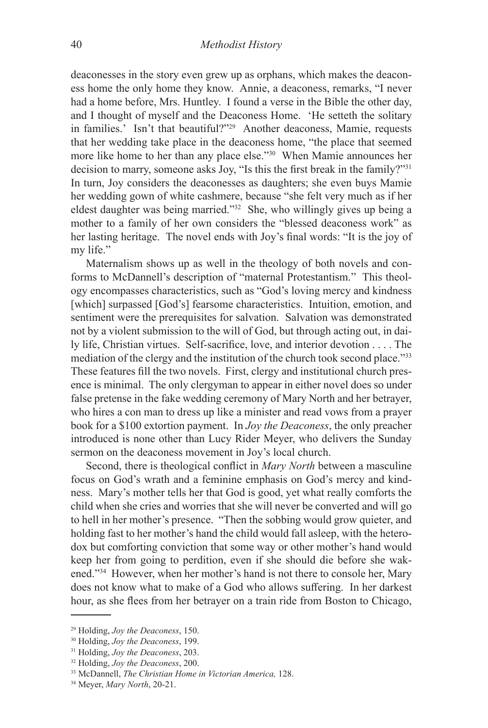deaconesses in the story even grew up as orphans, which makes the deaconess home the only home they know. Annie, a deaconess, remarks, "I never had a home before, Mrs. Huntley. I found a verse in the Bible the other day, and I thought of myself and the Deaconess Home. 'He setteth the solitary in families.' Isn't that beautiful?"29 Another deaconess, Mamie, requests that her wedding take place in the deaconess home, "the place that seemed more like home to her than any place else."30 When Mamie announces her decision to marry, someone asks Joy, "Is this the first break in the family?"31 In turn, Joy considers the deaconesses as daughters; she even buys Mamie her wedding gown of white cashmere, because "she felt very much as if her eldest daughter was being married."32 She, who willingly gives up being a mother to a family of her own considers the "blessed deaconess work" as her lasting heritage. The novel ends with Joy's final words: "It is the joy of my life."

Maternalism shows up as well in the theology of both novels and conforms to McDannell's description of "maternal Protestantism." This theology encompasses characteristics, such as "God's loving mercy and kindness [which] surpassed [God's] fearsome characteristics. Intuition, emotion, and sentiment were the prerequisites for salvation. Salvation was demonstrated not by a violent submission to the will of God, but through acting out, in daily life, Christian virtues. Self-sacrifice, love, and interior devotion . . . . The mediation of the clergy and the institution of the church took second place."33 These features fill the two novels. First, clergy and institutional church presence is minimal. The only clergyman to appear in either novel does so under false pretense in the fake wedding ceremony of Mary North and her betrayer, who hires a con man to dress up like a minister and read vows from a prayer book for a \$100 extortion payment. In *Joy the Deaconess*, the only preacher introduced is none other than Lucy Rider Meyer, who delivers the Sunday sermon on the deaconess movement in Joy's local church.

Second, there is theological conflict in *Mary North* between a masculine focus on God's wrath and a feminine emphasis on God's mercy and kindness. Mary's mother tells her that God is good, yet what really comforts the child when she cries and worries that she will never be converted and will go to hell in her mother's presence. "Then the sobbing would grow quieter, and holding fast to her mother's hand the child would fall asleep, with the heterodox but comforting conviction that some way or other mother's hand would keep her from going to perdition, even if she should die before she wakened."34 However, when her mother's hand is not there to console her, Mary does not know what to make of a God who allows suffering. In her darkest hour, as she flees from her betrayer on a train ride from Boston to Chicago,

<sup>29</sup> Holding, *Joy the Deaconess*, 150.

<sup>30</sup> Holding, *Joy the Deaconess*, 199.

<sup>31</sup> Holding, *Joy the Deaconess*, 203.

<sup>32</sup> Holding, *Joy the Deaconess*, 200.

<sup>33</sup> McDannell, *The Christian Home in Victorian America,* 128.

<sup>34</sup> Meyer, *Mary North*, 20-21.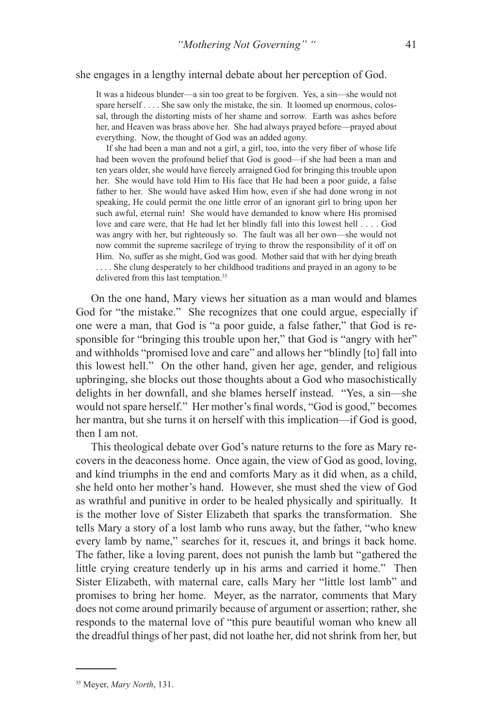## she engages in a lengthy internal debate about her perception of God.

It was a hideous blunder—a sin too great to be forgiven. Yes, a sin—she would not spare herself . . . . She saw only the mistake, the sin. It loomed up enormous, colossal, through the distorting mists of her shame and sorrow. Earth was ashes before her, and Heaven was brass above her. She had always prayed before—prayed about everything. Now, the thought of God was an added agony.

If she had been a man and not a girl, a girl, too, into the very fiber of whose life had been woven the profound belief that God is good—if she had been a man and ten years older, she would have fiercely arraigned God for bringing this trouble upon her. She would have told Him to His face that He had been a poor guide, a false father to her. She would have asked Him how, even if she had done wrong in not speaking, He could permit the one little error of an ignorant girl to bring upon her such awful, eternal ruin! She would have demanded to know where His promised love and care were, that He had let her blindly fall into this lowest hell . . . . God was angry with her, but righteously so. The fault was all her own—she would not now commit the supreme sacrilege of trying to throw the responsibility of it off on Him. No, suffer as she might, God was good. Mother said that with her dying breath .... She clung desperately to her childhood traditions and prayed in an agony to be delivered from this last temptation.<sup>35</sup>

On the one hand, Mary views her situation as a man would and blames God for "the mistake." She recognizes that one could argue, especially if one were a man, that God is "a poor guide, a false father," that God is responsible for "bringing this trouble upon her," that God is "angry with her" and withholds "promised love and care" and allows her "blindly [to] fall into this lowest hell." On the other hand, given her age, gender, and religious upbringing, she blocks out those thoughts about a God who masochistically delights in her downfall, and she blames herself instead. "Yes, a sin—she would not spare herself." Her mother's final words, "God is good," becomes her mantra, but she turns it on herself with this implication—if God is good, then I am not.

This theological debate over God's nature returns to the fore as Mary recovers in the deaconess home. Once again, the view of God as good, loving, and kind triumphs in the end and comforts Mary as it did when, as a child, she held onto her mother's hand. However, she must shed the view of God as wrathful and punitive in order to be healed physically and spiritually. It is the mother love of Sister Elizabeth that sparks the transformation. She tells Mary a story of a lost lamb who runs away, but the father, "who knew every lamb by name," searches for it, rescues it, and brings it back home. The father, like a loving parent, does not punish the lamb but "gathered the little crying creature tenderly up in his arms and carried it home." Then Sister Elizabeth, with maternal care, calls Mary her "little lost lamb" and promises to bring her home. Meyer, as the narrator, comments that Mary does not come around primarily because of argument or assertion; rather, she responds to the maternal love of "this pure beautiful woman who knew all the dreadful things of her past, did not loathe her, did not shrink from her, but

<sup>35</sup> Meyer, *Mary North*, 131.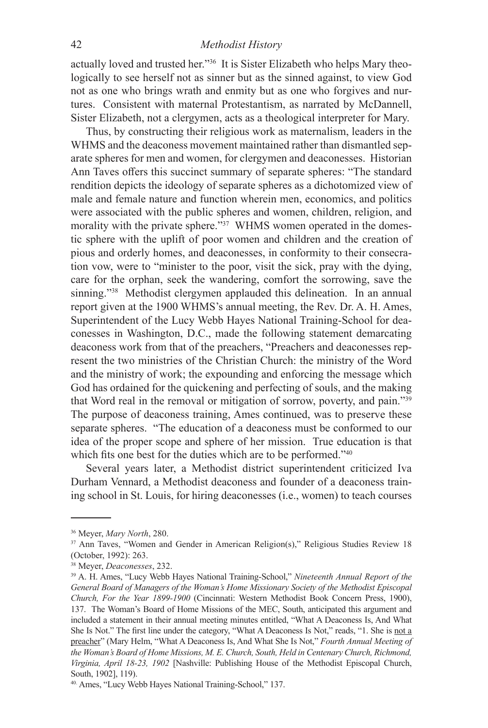## 42 *Methodist History*

actually loved and trusted her."36 It is Sister Elizabeth who helps Mary theologically to see herself not as sinner but as the sinned against, to view God not as one who brings wrath and enmity but as one who forgives and nurtures. Consistent with maternal Protestantism, as narrated by McDannell, Sister Elizabeth, not a clergymen, acts as a theological interpreter for Mary.

Thus, by constructing their religious work as maternalism, leaders in the WHMS and the deaconess movement maintained rather than dismantled separate spheres for men and women, for clergymen and deaconesses. Historian Ann Taves offers this succinct summary of separate spheres: "The standard rendition depicts the ideology of separate spheres as a dichotomized view of male and female nature and function wherein men, economics, and politics were associated with the public spheres and women, children, religion, and morality with the private sphere."<sup>37</sup> WHMS women operated in the domestic sphere with the uplift of poor women and children and the creation of pious and orderly homes, and deaconesses, in conformity to their consecration vow, were to "minister to the poor, visit the sick, pray with the dying, care for the orphan, seek the wandering, comfort the sorrowing, save the sinning."<sup>38</sup> Methodist clergymen applauded this delineation. In an annual report given at the 1900 WHMS's annual meeting, the Rev. Dr. A. H. Ames, Superintendent of the Lucy Webb Hayes National Training-School for deaconesses in Washington, D.C., made the following statement demarcating deaconess work from that of the preachers, "Preachers and deaconesses represent the two ministries of the Christian Church: the ministry of the Word and the ministry of work; the expounding and enforcing the message which God has ordained for the quickening and perfecting of souls, and the making that Word real in the removal or mitigation of sorrow, poverty, and pain."39 The purpose of deaconess training, Ames continued, was to preserve these separate spheres. "The education of a deaconess must be conformed to our idea of the proper scope and sphere of her mission. True education is that which fits one best for the duties which are to be performed."<sup>40</sup>

Several years later, a Methodist district superintendent criticized Iva Durham Vennard, a Methodist deaconess and founder of a deaconess training school in St. Louis, for hiring deaconesses (i.e., women) to teach courses

<sup>36</sup> Meyer, *Mary North*, 280.

<sup>&</sup>lt;sup>37</sup> Ann Taves, "Women and Gender in American Religion(s)," Religious Studies Review 18 (October, 1992): 263.

<sup>38</sup> Meyer, *Deaconesses*, 232.

<sup>39</sup> A. H. Ames, "Lucy Webb Hayes National Training-School," *Nineteenth Annual Report of the General Board of Managers of the Woman's Home Missionary Society of the Methodist Episcopal Church, For the Year 1899-1900* (Cincinnati: Western Methodist Book Concern Press, 1900), 137.The Woman's Board of Home Missions of the MEC, South, anticipated this argument and included a statement in their annual meeting minutes entitled, "What A Deaconess Is, And What She Is Not." The first line under the category, "What A Deaconess Is Not," reads, "1. She is not a preacher" (Mary Helm, "What A Deaconess Is, And What She Is Not," *Fourth Annual Meeting of the Woman's Board of Home Missions, M. E. Church, South, Held in Centenary Church, Richmond, Virginia, April 18-23, 1902* [Nashville: Publishing House of the Methodist Episcopal Church, South, 1902], 119).

<sup>40.</sup> Ames, "Lucy Webb Hayes National Training-School," 137.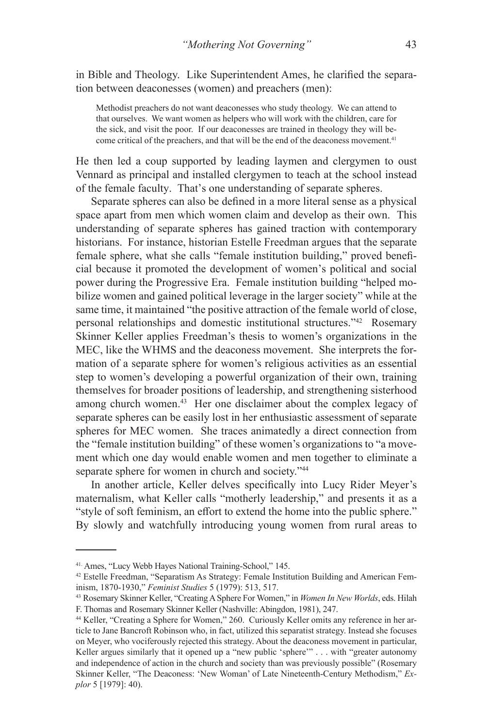in Bible and Theology. Like Superintendent Ames, he clarified the separation between deaconesses (women) and preachers (men):

Methodist preachers do not want deaconesses who study theology. We can attend to that ourselves. We want women as helpers who will work with the children, care for the sick, and visit the poor. If our deaconesses are trained in theology they will become critical of the preachers, and that will be the end of the deaconess movement.<sup>41</sup>

He then led a coup supported by leading laymen and clergymen to oust Vennard as principal and installed clergymen to teach at the school instead of the female faculty. That's one understanding of separate spheres.

Separate spheres can also be defined in a more literal sense as a physical space apart from men which women claim and develop as their own. This understanding of separate spheres has gained traction with contemporary historians. For instance, historian Estelle Freedman argues that the separate female sphere, what she calls "female institution building," proved beneficial because it promoted the development of women's political and social power during the Progressive Era. Female institution building "helped mobilize women and gained political leverage in the larger society" while at the same time, it maintained "the positive attraction of the female world of close, personal relationships and domestic institutional structures."42 Rosemary Skinner Keller applies Freedman's thesis to women's organizations in the MEC, like the WHMS and the deaconess movement. She interprets the formation of a separate sphere for women's religious activities as an essential step to women's developing a powerful organization of their own, training themselves for broader positions of leadership, and strengthening sisterhood among church women.43 Her one disclaimer about the complex legacy of separate spheres can be easily lost in her enthusiastic assessment of separate spheres for MEC women. She traces animatedly a direct connection from the "female institution building" of these women's organizations to "a movement which one day would enable women and men together to eliminate a separate sphere for women in church and society."<sup>44</sup>

In another article, Keller delves specifically into Lucy Rider Meyer's maternalism, what Keller calls "motherly leadership," and presents it as a "style of soft feminism, an effort to extend the home into the public sphere." By slowly and watchfully introducing young women from rural areas to

<sup>41.</sup> Ames, "Lucy Webb Hayes National Training-School," 145.

<sup>42</sup> Estelle Freedman, "Separatism As Strategy: Female Institution Building and American Feminism, 1870-1930," *Feminist Studies* 5 (1979): 513, 517.

<sup>43</sup> Rosemary Skinner Keller, "Creating A Sphere For Women," in *Women In New Worlds*, eds. Hilah F. Thomas and Rosemary Skinner Keller (Nashville: Abingdon, 1981), 247.

<sup>44</sup> Keller, "Creating a Sphere for Women," 260. Curiously Keller omits any reference in her article to Jane Bancroft Robinson who, in fact, utilized this separatist strategy. Instead she focuses on Meyer, who vociferously rejected this strategy. About the deaconess movement in particular, Keller argues similarly that it opened up a "new public 'sphere'" . . . with "greater autonomy and independence of action in the church and society than was previously possible" (Rosemary Skinner Keller, "The Deaconess: 'New Woman' of Late Nineteenth-Century Methodism," *Explor* 5 [1979]: 40).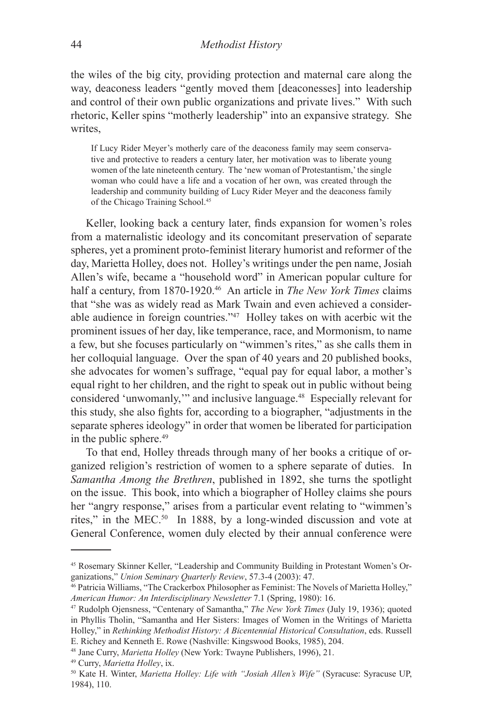the wiles of the big city, providing protection and maternal care along the way, deaconess leaders "gently moved them [deaconesses] into leadership and control of their own public organizations and private lives." With such rhetoric, Keller spins "motherly leadership" into an expansive strategy. She writes,

If Lucy Rider Meyer's motherly care of the deaconess family may seem conservative and protective to readers a century later, her motivation was to liberate young women of the late nineteenth century. The 'new woman of Protestantism,' the single woman who could have a life and a vocation of her own, was created through the leadership and community building of Lucy Rider Meyer and the deaconess family of the Chicago Training School.45

Keller, looking back a century later, finds expansion for women's roles from a maternalistic ideology and its concomitant preservation of separate spheres, yet a prominent proto-feminist literary humorist and reformer of the day, Marietta Holley, does not. Holley's writings under the pen name, Josiah Allen's wife, became a "household word" in American popular culture for half a century, from 1870-1920.46 An article in *The New York Times* claims that "she was as widely read as Mark Twain and even achieved a considerable audience in foreign countries."47 Holley takes on with acerbic wit the prominent issues of her day, like temperance, race, and Mormonism, to name a few, but she focuses particularly on "wimmen's rites," as she calls them in her colloquial language.Over the span of 40 years and 20 published books, she advocates for women's suffrage, "equal pay for equal labor, a mother's equal right to her children, and the right to speak out in public without being considered 'unwomanly,'" and inclusive language.48 Especially relevant for this study, she also fights for, according to a biographer, "adjustments in the separate spheres ideology" in order that women be liberated for participation in the public sphere.49

To that end, Holley threads through many of her books a critique of organized religion's restriction of women to a sphere separate of duties. In *Samantha Among the Brethren*, published in 1892, she turns the spotlight on the issue. This book, into which a biographer of Holley claims she pours her "angry response," arises from a particular event relating to "wimmen's rites," in the MEC.50 In 1888, by a long-winded discussion and vote at General Conference, women duly elected by their annual conference were

<sup>45</sup> Rosemary Skinner Keller, "Leadership and Community Building in Protestant Women's Organizations," *Union Seminary Quarterly Review*, 57.3-4 (2003): 47.<br><sup>46</sup> Patricia Williams, "The Crackerbox Philosopher as Feminist: The Novels of Marietta Holley,"

*American Humor: An Interdisciplinary Newsletter* 7.1 (Spring, 1980): 16.

<sup>47</sup> Rudolph Ojensness, "Centenary of Samantha," *The New York Times* (July 19, 1936); quoted in Phyllis Tholin, "Samantha and Her Sisters: Images of Women in the Writings of Marietta Holley," in *Rethinking Methodist History: A Bicentennial Historical Consultation*, eds. Russell E. Richey and Kenneth E. Rowe (Nashville: Kingswood Books, 1985), 204.

<sup>48</sup> Jane Curry, *Marietta Holley* (New York: Twayne Publishers, 1996), 21.

<sup>49</sup> Curry, *Marietta Holley*, ix.

<sup>50</sup> Kate H. Winter, *Marietta Holley: Life with "Josiah Allen's Wife"* (Syracuse: Syracuse UP, 1984), 110.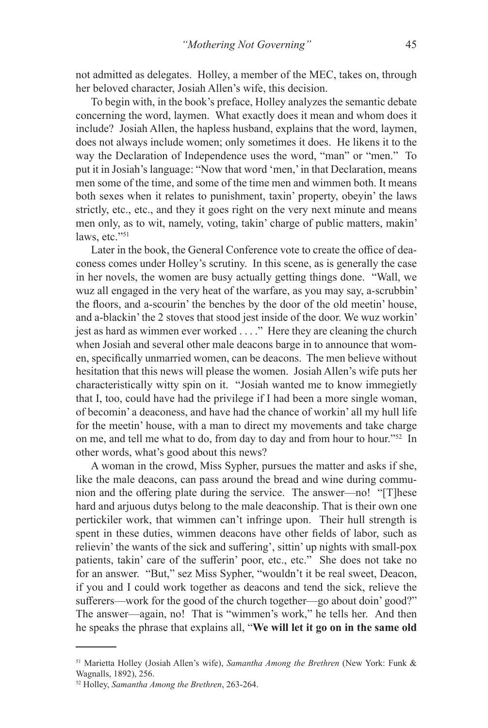not admitted as delegates. Holley, a member of the MEC, takes on, through her beloved character, Josiah Allen's wife, this decision.

To begin with, in the book's preface, Holley analyzes the semantic debate concerning the word, laymen. What exactly does it mean and whom does it include? Josiah Allen, the hapless husband, explains that the word, laymen, does not always include women; only sometimes it does. He likens it to the way the Declaration of Independence uses the word, "man" or "men." To put it in Josiah's language: "Now that word 'men,' in that Declaration, means men some of the time, and some of the time men and wimmen both. It means both sexes when it relates to punishment, taxin' property, obeyin' the laws strictly, etc., etc., and they it goes right on the very next minute and means men only, as to wit, namely, voting, takin' charge of public matters, makin' laws, etc."51

Later in the book, the General Conference vote to create the office of deaconess comes under Holley's scrutiny. In this scene, as is generally the case in her novels, the women are busy actually getting things done. "Wall, we wuz all engaged in the very heat of the warfare, as you may say, a-scrubbin' the floors, and a-scourin' the benches by the door of the old meetin' house, and a-blackin' the 2 stoves that stood jest inside of the door. We wuz workin' jest as hard as wimmen ever worked . . . ." Here they are cleaning the church when Josiah and several other male deacons barge in to announce that women, specifically unmarried women, can be deacons. The men believe without hesitation that this news will please the women. Josiah Allen's wife puts her characteristically witty spin on it. "Josiah wanted me to know immegietly that I, too, could have had the privilege if I had been a more single woman, of becomin' a deaconess, and have had the chance of workin' all my hull life for the meetin' house, with a man to direct my movements and take charge on me, and tell me what to do, from day to day and from hour to hour."52 In other words, what's good about this news?

A woman in the crowd, Miss Sypher, pursues the matter and asks if she, like the male deacons, can pass around the bread and wine during communion and the offering plate during the service. The answer—no! "[T]hese hard and arjuous dutys belong to the male deaconship. That is their own one pertickiler work, that wimmen can't infringe upon. Their hull strength is spent in these duties, wimmen deacons have other fields of labor, such as relievin' the wants of the sick and suffering', sittin' up nights with small-pox patients, takin' care of the sufferin' poor, etc., etc." She does not take no for an answer. "But," sez Miss Sypher, "wouldn't it be real sweet, Deacon, if you and I could work together as deacons and tend the sick, relieve the sufferers—work for the good of the church together—go about doin' good?" The answer—again, no! That is "wimmen's work," he tells her. And then he speaks the phrase that explains all, "**We will let it go on in the same old** 

<sup>51</sup> Marietta Holley (Josiah Allen's wife), *Samantha Among the Brethren* (New York: Funk & Wagnalls, 1892), 256.

<sup>52</sup> Holley, *Samantha Among the Brethren*, 263-264.